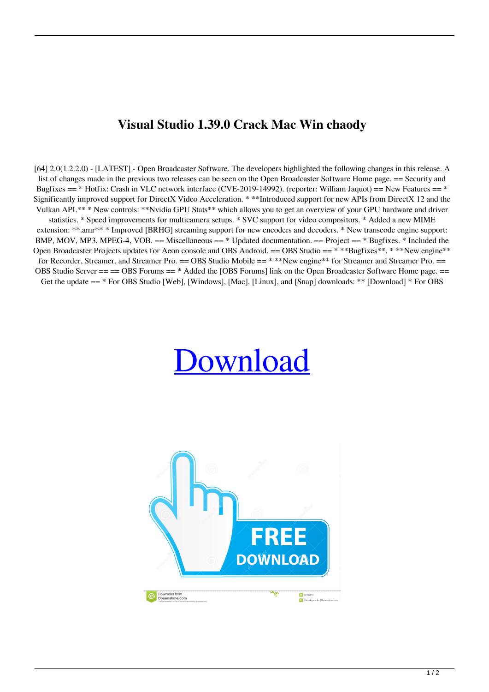## **Visual Studio 1.39.0 Crack Mac Win chaody**

[64] 2.0(1.2.2.0) - [LATEST] - Open Broadcaster Software. The developers highlighted the following changes in this release. A list of changes made in the previous two releases can be seen on the Open Broadcaster Software Home page. == Security and Bugfixes  $==$  \* Hotfix: Crash in VLC network interface (CVE-2019-14992). (reporter: William Jaquot)  $==$  New Features  $==$  \* Significantly improved support for DirectX Video Acceleration. \* \*\*Introduced support for new APIs from DirectX 12 and the Vulkan API.\*\* \* New controls: \*\*Nvidia GPU Stats\*\* which allows you to get an overview of your GPU hardware and driver statistics. \* Speed improvements for multicamera setups. \* SVC support for video compositors. \* Added a new MIME extension: \*\*.amr\*\* \* Improved [BRHG] streaming support for new encoders and decoders. \* New transcode engine support: BMP, MOV, MP3, MPEG-4, VOB. == Miscellaneous ==  $*$  Updated documentation. == Project ==  $*$  Bugfixes.  $*$  Included the Open Broadcaster Projects updates for Aeon console and OBS Android. == OBS Studio == \* \*\*Bugfixes\*\*. \* \*\*New engine\*\* for Recorder, Streamer, and Streamer Pro. == OBS Studio Mobile == \* \*\*New engine\*\* for Streamer and Streamer Pro. == OBS Studio Server  $== =$  OBS Forums  $==$  \* Added the [OBS Forums] link on the Open Broadcaster Software Home page.  $==$ Get the update == \* For OBS Studio [Web], [Windows], [Mac], [Linux], and [Snap] downloads: \*\* [Download] \* For OBS

## [Download](http://evacdir.com/lombardi/VmlzdWFsIFN0dWRpbyAxLjM5LjAgQ3JhY2sgTWFjIFdpbgVml/psychopathology=brioni/ZG93bmxvYWR8dVIzTVhSdk4zeDhNVFkxTWpRMk16QTFNSHg4TWpVM05IeDhLRTBwSUhKbFlXUXRZbXh2WnlCYlJtRnpkQ0JIUlU1ZA=ting/)